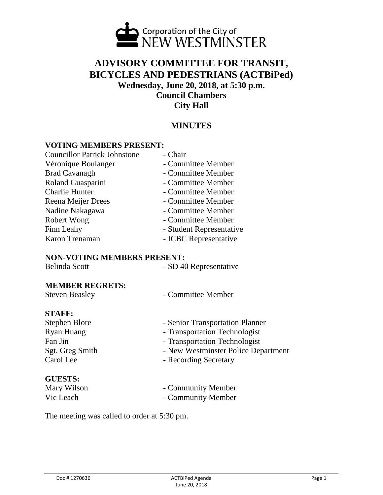

# **ADVISORY COMMITTEE FOR TRANSIT, BICYCLES AND PEDESTRIANS (ACTBiPed) Wednesday, June 20, 2018, at 5:30 p.m. Council Chambers City Hall**

# **MINUTES**

# **VOTING MEMBERS PRESENT:**

| <b>Councillor Patrick Johnstone</b> | - Chair                  |
|-------------------------------------|--------------------------|
| Véronique Boulanger                 | - Committee Member       |
| <b>Brad Cavanagh</b>                | - Committee Member       |
| Roland Guasparini                   | - Committee Member       |
| <b>Charlie Hunter</b>               | - Committee Member       |
| Reena Meijer Drees                  | - Committee Member       |
| Nadine Nakagawa                     | - Committee Member       |
| Robert Wong                         | - Committee Member       |
| Finn Leahy                          | - Student Representative |
| Karon Trenaman                      | - ICBC Representative    |

#### **NON-VOTING MEMBERS PRESENT:**

#### **MEMBER REGRETS:**

| <b>Steven Beasley</b> | - Committee Member |
|-----------------------|--------------------|
|-----------------------|--------------------|

#### **STAFF:**

| Stephen Blore   | - Senior Transportation Planner     |
|-----------------|-------------------------------------|
| Ryan Huang      | - Transportation Technologist       |
| Fan Jin         | - Transportation Technologist       |
| Sgt. Greg Smith | - New Westminster Police Department |
| Carol Lee       | - Recording Secretary               |
|                 |                                     |

### **GUESTS:**

- Mary Wilson Community Member Vic Leach - Community Member
	-

The meeting was called to order at 5:30 pm.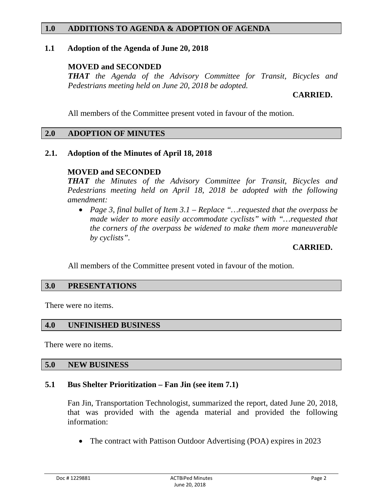# **1.0 ADDITIONS TO AGENDA & ADOPTION OF AGENDA**

### **1.1 Adoption of the Agenda of June 20, 2018**

# **MOVED and SECONDED**

*THAT the Agenda of the Advisory Committee for Transit, Bicycles and Pedestrians meeting held on June 20, 2018 be adopted.*

# **CARRIED.**

All members of the Committee present voted in favour of the motion.

# **2.0 ADOPTION OF MINUTES**

# **2.1. Adoption of the Minutes of April 18, 2018**

# **MOVED and SECONDED**

*THAT the Minutes of the Advisory Committee for Transit, Bicycles and Pedestrians meeting held on April 18, 2018 be adopted with the following amendment:*

• *Page 3, final bullet of Item 3.1 – Replace "…requested that the overpass be made wider to more easily accommodate cyclists" with "…requested that the corners of the overpass be widened to make them more maneuverable by cyclists".*

# **CARRIED.**

All members of the Committee present voted in favour of the motion.

### **3.0 PRESENTATIONS**

There were no items.

### **4.0 UNFINISHED BUSINESS**

There were no items.

#### **5.0 NEW BUSINESS**

### **5.1 Bus Shelter Prioritization – Fan Jin (see item 7.1)**

Fan Jin, Transportation Technologist, summarized the report, dated June 20, 2018, that was provided with the agenda material and provided the following information:

• The contract with Pattison Outdoor Advertising (POA) expires in 2023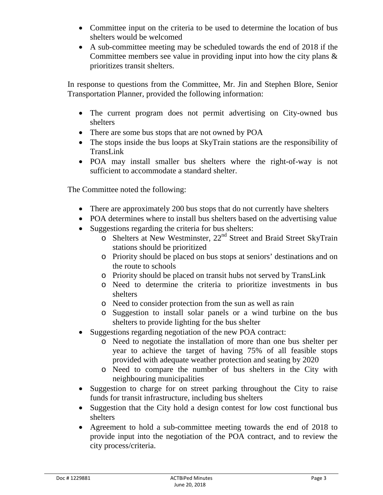- Committee input on the criteria to be used to determine the location of bus shelters would be welcomed
- A sub-committee meeting may be scheduled towards the end of 2018 if the Committee members see value in providing input into how the city plans  $\&$ prioritizes transit shelters.

In response to questions from the Committee, Mr. Jin and Stephen Blore, Senior Transportation Planner, provided the following information:

- The current program does not permit advertising on City-owned bus shelters
- There are some bus stops that are not owned by POA
- The stops inside the bus loops at SkyTrain stations are the responsibility of TransLink
- POA may install smaller bus shelters where the right-of-way is not sufficient to accommodate a standard shelter.

The Committee noted the following:

- There are approximately 200 bus stops that do not currently have shelters
- POA determines where to install bus shelters based on the advertising value
- Suggestions regarding the criteria for bus shelters:
	- o Shelters at New Westminster, 22nd Street and Braid Street SkyTrain stations should be prioritized
	- o Priority should be placed on bus stops at seniors' destinations and on the route to schools
	- o Priority should be placed on transit hubs not served by TransLink
	- o Need to determine the criteria to prioritize investments in bus shelters
	- o Need to consider protection from the sun as well as rain
	- o Suggestion to install solar panels or a wind turbine on the bus shelters to provide lighting for the bus shelter
- Suggestions regarding negotiation of the new POA contract:
	- o Need to negotiate the installation of more than one bus shelter per year to achieve the target of having 75% of all feasible stops provided with adequate weather protection and seating by 2020
	- o Need to compare the number of bus shelters in the City with neighbouring municipalities
- Suggestion to charge for on street parking throughout the City to raise funds for transit infrastructure, including bus shelters
- Suggestion that the City hold a design contest for low cost functional bus shelters
- Agreement to hold a sub-committee meeting towards the end of 2018 to provide input into the negotiation of the POA contract, and to review the city process/criteria.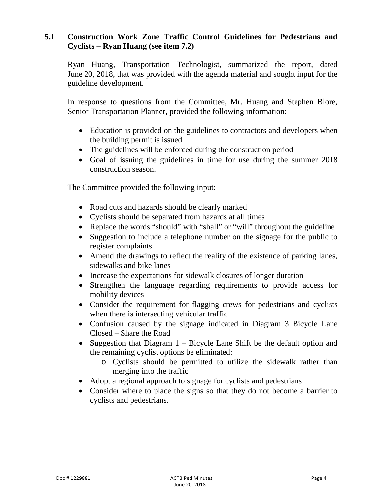# **5.1 Construction Work Zone Traffic Control Guidelines for Pedestrians and Cyclists – Ryan Huang (see item 7.2)**

Ryan Huang, Transportation Technologist, summarized the report, dated June 20, 2018, that was provided with the agenda material and sought input for the guideline development.

In response to questions from the Committee, Mr. Huang and Stephen Blore, Senior Transportation Planner, provided the following information:

- Education is provided on the guidelines to contractors and developers when the building permit is issued
- The guidelines will be enforced during the construction period
- Goal of issuing the guidelines in time for use during the summer 2018 construction season.

The Committee provided the following input:

- Road cuts and hazards should be clearly marked
- Cyclists should be separated from hazards at all times
- Replace the words "should" with "shall" or "will" throughout the guideline
- Suggestion to include a telephone number on the signage for the public to register complaints
- Amend the drawings to reflect the reality of the existence of parking lanes, sidewalks and bike lanes
- Increase the expectations for sidewalk closures of longer duration
- Strengthen the language regarding requirements to provide access for mobility devices
- Consider the requirement for flagging crews for pedestrians and cyclists when there is intersecting vehicular traffic
- Confusion caused by the signage indicated in Diagram 3 Bicycle Lane Closed – Share the Road
- Suggestion that Diagram 1 Bicycle Lane Shift be the default option and the remaining cyclist options be eliminated:
	- o Cyclists should be permitted to utilize the sidewalk rather than merging into the traffic
- Adopt a regional approach to signage for cyclists and pedestrians
- Consider where to place the signs so that they do not become a barrier to cyclists and pedestrians.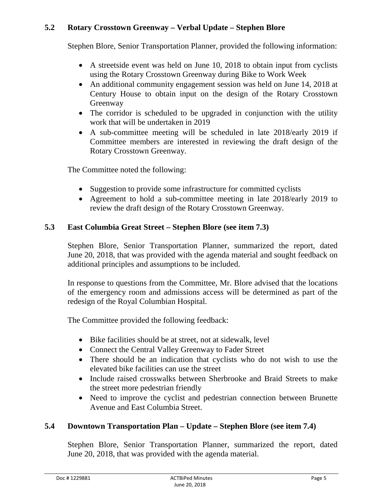# **5.2 Rotary Crosstown Greenway – Verbal Update – Stephen Blore**

Stephen Blore, Senior Transportation Planner, provided the following information:

- A streetside event was held on June 10, 2018 to obtain input from cyclists using the Rotary Crosstown Greenway during Bike to Work Week
- An additional community engagement session was held on June 14, 2018 at Century House to obtain input on the design of the Rotary Crosstown Greenway
- The corridor is scheduled to be upgraded in conjunction with the utility work that will be undertaken in 2019
- A sub-committee meeting will be scheduled in late 2018/early 2019 if Committee members are interested in reviewing the draft design of the Rotary Crosstown Greenway.

The Committee noted the following:

- Suggestion to provide some infrastructure for committed cyclists
- Agreement to hold a sub-committee meeting in late 2018/early 2019 to review the draft design of the Rotary Crosstown Greenway.

# **5.3 East Columbia Great Street – Stephen Blore (see item 7.3)**

Stephen Blore, Senior Transportation Planner, summarized the report, dated June 20, 2018, that was provided with the agenda material and sought feedback on additional principles and assumptions to be included.

In response to questions from the Committee, Mr. Blore advised that the locations of the emergency room and admissions access will be determined as part of the redesign of the Royal Columbian Hospital.

The Committee provided the following feedback:

- Bike facilities should be at street, not at sidewalk, level
- Connect the Central Valley Greenway to Fader Street
- There should be an indication that cyclists who do not wish to use the elevated bike facilities can use the street
- Include raised crosswalks between Sherbrooke and Braid Streets to make the street more pedestrian friendly
- Need to improve the cyclist and pedestrian connection between Brunette Avenue and East Columbia Street.

# **5.4 Downtown Transportation Plan – Update – Stephen Blore (see item 7.4)**

Stephen Blore, Senior Transportation Planner, summarized the report, dated June 20, 2018, that was provided with the agenda material.